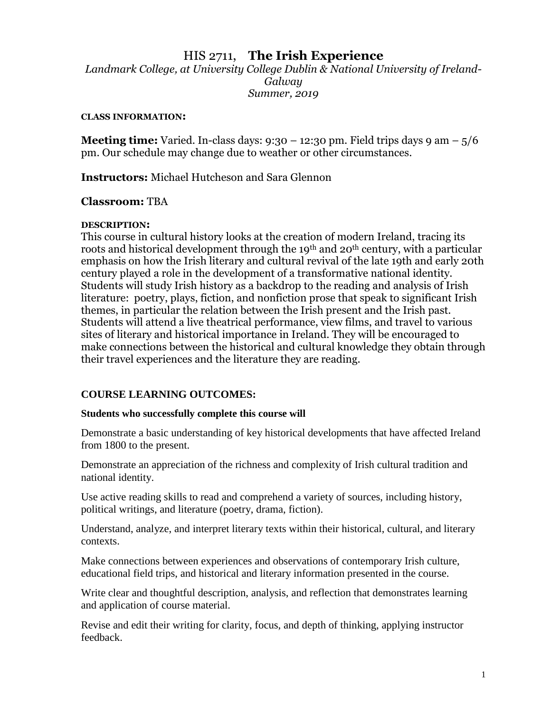# HIS 2711, **The Irish Experience**

*Landmark College, at University College Dublin & National University of Ireland-Galway Summer, 2019*

#### **CLASS INFORMATION:**

**Meeting time:** Varied. In-class days:  $9:30 - 12:30$  pm. Field trips days  $9 \text{ am} - \frac{5}{6}$ pm. Our schedule may change due to weather or other circumstances.

**Instructors:** Michael Hutcheson and Sara Glennon

## **Classroom:** TBA

#### **DESCRIPTION:**

This course in cultural history looks at the creation of modern Ireland, tracing its roots and historical development through the 19<sup>th</sup> and 20<sup>th</sup> century, with a particular emphasis on how the Irish literary and cultural revival of the late 19th and early 20th century played a role in the development of a transformative national identity. Students will study Irish history as a backdrop to the reading and analysis of Irish literature: poetry, plays, fiction, and nonfiction prose that speak to significant Irish themes, in particular the relation between the Irish present and the Irish past. Students will attend a live theatrical performance, view films, and travel to various sites of literary and historical importance in Ireland. They will be encouraged to make connections between the historical and cultural knowledge they obtain through their travel experiences and the literature they are reading.

# **COURSE LEARNING OUTCOMES:**

#### **Students who successfully complete this course will**

Demonstrate a basic understanding of key historical developments that have affected Ireland from 1800 to the present.

Demonstrate an appreciation of the richness and complexity of Irish cultural tradition and national identity.

Use active reading skills to read and comprehend a variety of sources, including history, political writings, and literature (poetry, drama, fiction).

Understand, analyze, and interpret literary texts within their historical, cultural, and literary contexts.

Make connections between experiences and observations of contemporary Irish culture, educational field trips, and historical and literary information presented in the course.

Write clear and thoughtful description, analysis, and reflection that demonstrates learning and application of course material.

Revise and edit their writing for clarity, focus, and depth of thinking, applying instructor feedback.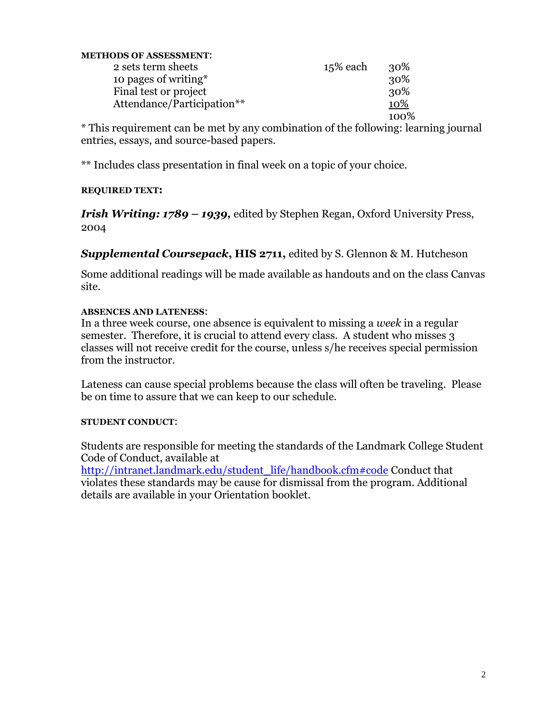| <b>METHODS OF ASSESSMENT:</b> |          |      |
|-------------------------------|----------|------|
| 2 sets term sheets            | 15% each | 30%  |
| 10 pages of writing*          |          | 30%  |
| Final test or project         |          | 30%  |
| Attendance/Participation**    |          | 10%  |
|                               |          | 100% |

\* This requirement can be met by any combination of the following: learning journal entries, essays, and source-based papers.

\*\* Includes class presentation in final week on a topic of your choice.

## **REQUIRED TEXT:**

*Irish Writing: 1789 – 1939,* edited by Stephen Regan, Oxford University Press, 2004

*Supplemental Coursepack***, HIS 2711,** edited by S. Glennon & M. Hutcheson

Some additional readings will be made available as handouts and on the class Canvas site.

# **ABSENCES AND LATENESS**:

In a three week course, one absence is equivalent to missing a *week* in a regular semester. Therefore, it is crucial to attend every class. A student who misses 3 classes will not receive credit for the course, unless s/he receives special permission from the instructor.

Lateness can cause special problems because the class will often be traveling. Please be on time to assure that we can keep to our schedule.

# **STUDENT CONDUCT**:

Students are responsible for meeting the standards of the Landmark College Student Code of Conduct, available at

[http://intranet.landmark.edu/student\\_life/handbook.cfm#code](http://intranet.landmark.edu/student_life/handbook.cfm#code) Conduct that violates these standards may be cause for dismissal from the program. Additional details are available in your Orientation booklet.